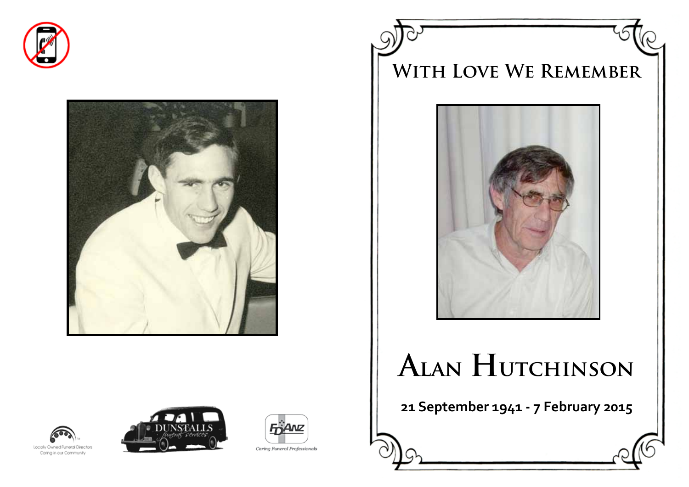







# **Alan Hutchinson**

**21 September 1941 - 7 February 2015**







Caring Funeral Professionals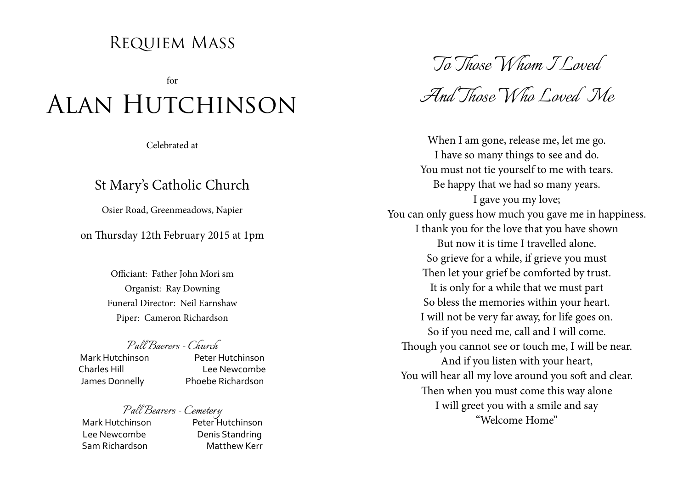### Requiem Mass

for

## Alan Hutchinson

Celebrated at

### St Mary's Catholic Church

Osier Road, Greenmeadows, Napier

on Thursday 12th February 2015 at 1pm

Officiant: Father John Mori sm Organist: Ray Downing Funeral Director: Neil Earnshaw Piper: Cameron Richardson

### *Pall Baerers - Church*

Mark Hutchinson

Charles Hill Lee Newcombe James Donnelly Phoebe Richardson

## *Pall Bearers - Cemetery* Mark Hutchinson Peter Hutchinson

Lee Newcombe Denis Standring Sam Richardson Matthew Kerr

*To Those Whom I Loved* 

*And Those Who Loved Me*

When I am gone, release me, let me go. I have so many things to see and do. You must not tie yourself to me with tears. Be happy that we had so many years. I gave you my love; You can only guess how much you gave me in happiness. I thank you for the love that you have shown But now it is time I travelled alone. So grieve for a while, if grieve you must Then let your grief be comforted by trust. It is only for a while that we must part So bless the memories within your heart. I will not be very far away, for life goes on. So if you need me, call and I will come. Though you cannot see or touch me, I will be near. And if you listen with your heart, You will hear all my love around you soft and clear. Then when you must come this way alone I will greet you with a smile and say "Welcome Home"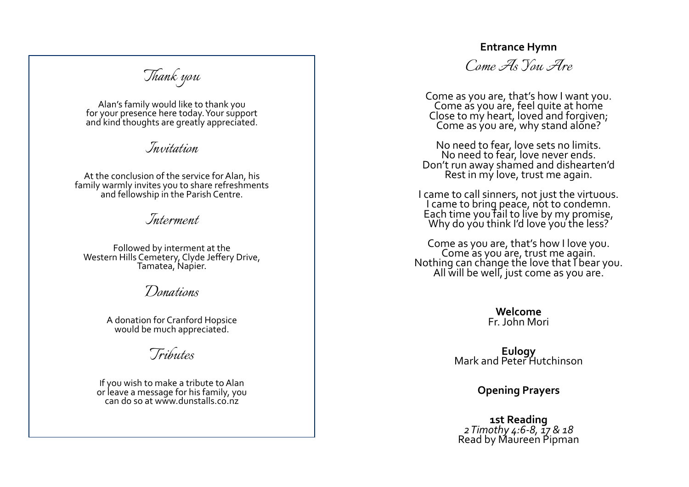#### **Entrance Hymn**

*Thank you*

Alan's family would like to thank you for your presence here today. Your support and kind thoughts are greatly appreciated.

*Invitation*

At the conclusion of the service for Alan, his family warmly invites you to share refreshments and fellowship in the Parish Centre.

*Interment*

Followed by interment at the Western Hills Cemetery, Clyde Jeffery Drive, Tamatea, Napier.

*Donations*

A donation for Cranford Hopsice would be much appreciated.

*Tributes*

If you wish to make a tribute to Alan or leave a message for his family, you can do so at www.dunstalls.co.nz

*Come As You Are*

Come as you are, that's how I want you. Come as you are, feel quite at home Close to my heart, loved and forgiven; Come as you are, why stand alone?

No need to fear, love sets no limits.<br>No need to fear, love never ends. Don't run away shamed and dishearten'd<br>Rest in my love, trust me again.

I came to call sinners, not just the virtuous. I came to bring peace, not to condemn. Each time you fail to live by my promise, Why do you think I'd love you the less?

Come as you are, that's how I love you.<br>Come as you are, trust me again.<br>Nothing can change the love that I bear you.<br>All will be well, just come as you are.

**Welcome** Fr. John Mori

**Eulogy** Mark and Peter Hutchinson

**Opening Prayers**

**1st Reading** *2 Timothy 4:6-8, 17 & 18* Read by Maureen Pipman